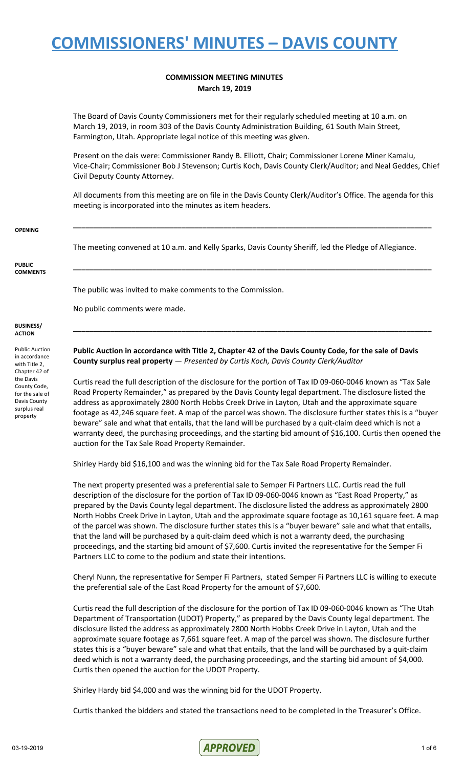#### **COMMISSION MEETING MINUTES March 19, 2019**

The Board of Davis County Commissioners met for their regularly scheduled meeting at 10 a.m. on March 19, 2019, in room 303 of the Davis County Administration Building, 61 South Main Street, Farmington, Utah. Appropriate legal notice of this meeting was given.

Present on the dais were: Commissioner Randy B. Elliott, Chair; Commissioner Lorene Miner Kamalu, Vice-Chair; Commissioner Bob J Stevenson; Curtis Koch, Davis County Clerk/Auditor; and Neal Geddes, Chief Civil Deputy County Attorney.

All documents from this meeting are on file in the Davis County Clerk/Auditor's Office. The agenda for this meeting is incorporated into the minutes as item headers.

**\_\_\_\_\_\_\_\_\_\_\_\_\_\_\_\_\_\_\_\_\_\_\_\_\_\_\_\_\_\_\_\_\_\_\_\_\_\_\_\_\_\_\_\_\_\_\_\_\_\_\_\_\_\_\_\_\_\_\_\_\_\_\_\_\_\_\_\_\_\_\_\_\_\_\_\_\_\_\_\_\_\_\_\_\_\_**

**\_\_\_\_\_\_\_\_\_\_\_\_\_\_\_\_\_\_\_\_\_\_\_\_\_\_\_\_\_\_\_\_\_\_\_\_\_\_\_\_\_\_\_\_\_\_\_\_\_\_\_\_\_\_\_\_\_\_\_\_\_\_\_\_\_\_\_\_\_\_\_\_\_\_\_\_\_\_\_\_\_\_\_\_\_\_**

**\_\_\_\_\_\_\_\_\_\_\_\_\_\_\_\_\_\_\_\_\_\_\_\_\_\_\_\_\_\_\_\_\_\_\_\_\_\_\_\_\_\_\_\_\_\_\_\_\_\_\_\_\_\_\_\_\_\_\_\_\_\_\_\_\_\_\_\_\_\_\_\_\_\_\_\_\_\_\_\_\_\_\_\_\_\_**

#### **OPENING**

The meeting convened at 10 a.m. and Kelly Sparks, Davis County Sheriff, led the Pledge of Allegiance.

#### **PUBLIC COMMENTS**

The public was invited to make comments to the Commission.

No public comments were made.

#### **BUSINESS/ ACTION**

Public Auction in accordance with Title 2, Chapter 42 of the Davis County Code, for the sale of Davis County surplus real property

Public Auction in accordance with Title 2, Chapter 42 of the Davis County Code, for the sale of Davis **County surplus real property** — *Presented by Curtis Koch, Davis County Clerk/Auditor*

Curtis read the full description of the disclosure for the portion of Tax ID 09-060-0046 known as "Tax Sale Road Property Remainder," as prepared by the Davis County legal department. The disclosure listed the address as approximately 2800 North Hobbs Creek Drive in Layton, Utah and the approximate square footage as 42,246 square feet. A map of the parcel was shown. The disclosure further states this is a "buyer beware" sale and what that entails, that the land will be purchased by a quit-claim deed which is not a warranty deed, the purchasing proceedings, and the starting bid amount of \$16,100. Curtis then opened the auction for the Tax Sale Road Property Remainder.

Shirley Hardy bid \$16,100 and was the winning bid for the Tax Sale Road Property Remainder.

The next property presented was a preferential sale to Semper Fi Partners LLC. Curtis read the full description of the disclosure for the portion of Tax ID 09-060-0046 known as "East Road Property," as prepared by the Davis County legal department. The disclosure listed the address as approximately 2800 North Hobbs Creek Drive in Layton, Utah and the approximate square footage as 10,161 square feet. A map of the parcel was shown. The disclosure further states this is a "buyer beware" sale and what that entails, that the land will be purchased by a quit-claim deed which is not a warranty deed, the purchasing proceedings, and the starting bid amount of \$7,600. Curtis invited the representative for the Semper Fi Partners LLC to come to the podium and state their intentions.

Cheryl Nunn, the representative for Semper Fi Partners, stated Semper Fi Partners LLC is willing to execute the preferential sale of the East Road Property for the amount of \$7,600.

Curtis read the full description of the disclosure for the portion of Tax ID 09-060-0046 known as "The Utah Department of Transportation (UDOT) Property," as prepared by the Davis County legal department. The disclosure listed the address as approximately 2800 North Hobbs Creek Drive in Layton, Utah and the approximate square footage as 7,661 square feet. A map of the parcel was shown. The disclosure further states this is a "buyer beware" sale and what that entails, that the land will be purchased by a quit-claim deed which is not a warranty deed, the purchasing proceedings, and the starting bid amount of \$4,000. Curtis then opened the auction for the UDOT Property.

Shirley Hardy bid \$4,000 and was the winning bid for the UDOT Property.

Curtis thanked the bidders and stated the transactions need to be completed in the Treasurer's Office.

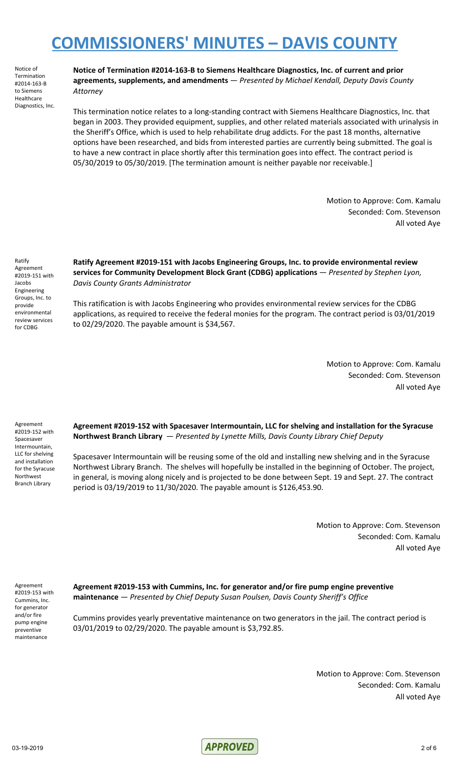Notice of Termination #2014-163-B to Siemens Healthcare Diagnostics, Inc. **Notice of Termination #2014-163-B to Siemens Healthcare Diagnostics, Inc. of current and prior agreements, supplements, and amendments** — *Presented by Michael Kendall, Deputy Davis County Attorney*

This termination notice relates to a long-standing contract with Siemens Healthcare Diagnostics, Inc. that began in 2003. They provided equipment, supplies, and other related materials associated with urinalysis in the Sheriff's Office, which is used to help rehabilitate drug addicts. For the past 18 months, alternative options have been researched, and bids from interested parties are currently being submitted. The goal is to have a new contract in place shortly after this termination goes into effect. The contract period is 05/30/2019 to 05/30/2019. [The termination amount is neither payable nor receivable.]

> Motion to Approve: Com. Kamalu Seconded: Com. Stevenson All voted Aye

Ratify Agreement #2019-151 with Jacobs Engineering Groups, Inc. to provide environmental review services for CDBG

**Ratify Agreement #2019-151 with Jacobs Engineering Groups, Inc. to provide environmental review services for Community Development Block Grant (CDBG) applications** — *Presented by Stephen Lyon, Davis County Grants Administrator*

This ratification is with Jacobs Engineering who provides environmental review services for the CDBG applications, as required to receive the federal monies for the program. The contract period is 03/01/2019 to 02/29/2020. The payable amount is \$34,567.

> Motion to Approve: Com. Kamalu Seconded: Com. Stevenson All voted Aye

Agreement #2019-152 with Spacesaver Intermountain, LLC for shelving and installation for the Syracuse Northwest Branch Library

**Agreement #2019-152 with Spacesaver Intermountain, LLC for shelving and installation for the Syracuse Northwest Branch Library** — *Presented by Lynette Mills, Davis County Library Chief Deputy*

Spacesaver Intermountain will be reusing some of the old and installing new shelving and in the Syracuse Northwest Library Branch. The shelves will hopefully be installed in the beginning of October. The project, in general, is moving along nicely and is projected to be done between Sept. 19 and Sept. 27. The contract period is 03/19/2019 to 11/30/2020. The payable amount is \$126,453.90.

> Motion to Approve: Com. Stevenson Seconded: Com. Kamalu All voted Aye

Agreement #2019-153 with Cummins, Inc. for generator and/or fire pump engine preventive maintenance

**Agreement #2019-153 with Cummins, Inc. for generator and/or fire pump engine preventive maintenance** — *Presented by Chief Deputy Susan Poulsen, Davis County Sheriff's Office*

Cummins provides yearly preventative maintenance on two generators in the jail. The contract period is 03/01/2019 to 02/29/2020. The payable amount is \$3,792.85.

> Motion to Approve: Com. Stevenson Seconded: Com. Kamalu All voted Aye

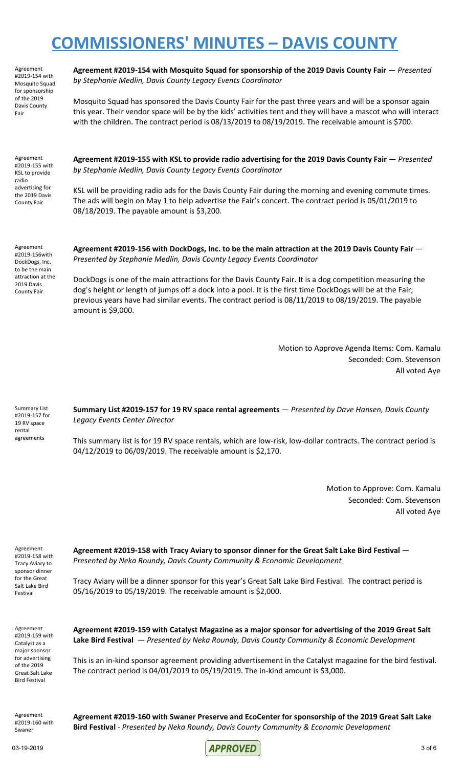Agreement #2019-154 with Mosquito Squad for sponsorship of the 2019 Davis County Fair

**Agreement #2019-154 with Mosquito Squad for sponsorship of the 2019 Davis County Fair** — *Presented by Stephanie Medlin, Davis County Legacy Events Coordinator*

Mosquito Squad has sponsored the Davis County Fair for the past three years and will be a sponsor again this year. Their vendor space will be by the kids' activities tent and they will have a mascot who will interact with the children. The contract period is 08/13/2019 to 08/19/2019. The receivable amount is \$700.

Agreement #2019-155 with KSL to provide radio advertising for the 2019 Davis County Fair

**Agreement #2019-155 with KSL to provide radio advertising for the 2019 Davis County Fair** — *Presented by Stephanie Medlin, Davis County Legacy Events Coordinator*

KSL will be providing radio ads for the Davis County Fair during the morning and evening commute times. The ads will begin on May 1 to help advertise the Fair's concert. The contract period is 05/01/2019 to 08/18/2019. The payable amount is \$3,200.

Agreement #2019-156with DockDogs, Inc. to be the main attraction at the 2019 Davis County Fair

**Agreement #2019-156 with DockDogs, Inc. to be the main attraction at the 2019 Davis County Fair** — *Presented by Stephanie Medlin, Davis County Legacy Events Coordinator*

DockDogs is one of the main attractions for the Davis County Fair. It is a dog competition measuring the dog's height or length of jumps off a dock into a pool. It is the first time DockDogs will be at the Fair; previous years have had similar events. The contract period is 08/11/2019 to 08/19/2019. The payable amount is \$9,000.

> Motion to Approve Agenda Items: Com. Kamalu Seconded: Com. Stevenson All voted Aye

Summary List #2019-157 for 19 RV space rental agreements **Summary List #2019-157 for 19 RV space rental agreements** — *Presented by Dave Hansen, Davis County Legacy Events Center Director*

This summary list is for 19 RV space rentals, which are low-risk, low-dollar contracts. The contract period is 04/12/2019 to 06/09/2019. The receivable amount is \$2,170.

> Motion to Approve: Com. Kamalu Seconded: Com. Stevenson All voted Aye

Agreement #2019-158 with Tracy Aviary to sponsor dinner for the Great Salt Lake Bird Festival

**Agreement #2019-158 with Tracy Aviary to sponsor dinner for the Great Salt Lake Bird Festival** — *Presented by Neka Roundy, Davis County Community & Economic Development*

Tracy Aviary will be a dinner sponsor for this year's Great Salt Lake Bird Festival. The contract period is 05/16/2019 to 05/19/2019. The receivable amount is \$2,000.

Agreement #2019-159 with Catalyst as a major sponsor for advertising of the 2019 Great Salt Lake Bird Festival

**Agreement #2019-159 with Catalyst Magazine as a major sponsor for advertising of the 2019 Great Salt Lake Bird Festival** — *Presented by Neka Roundy, Davis County Community & Economic Development*

This is an in-kind sponsor agreement providing advertisement in the Catalyst magazine for the bird festival. The contract period is 04/01/2019 to 05/19/2019. The in-kind amount is \$3,000.

Agreement #2019-160 with Swaner

**Agreement #2019-160 with Swaner Preserve and EcoCenter for sponsorship of the 2019 Great Salt Lake Bird Festival** - *Presented by Neka Roundy, Davis County Community & Economic Development*

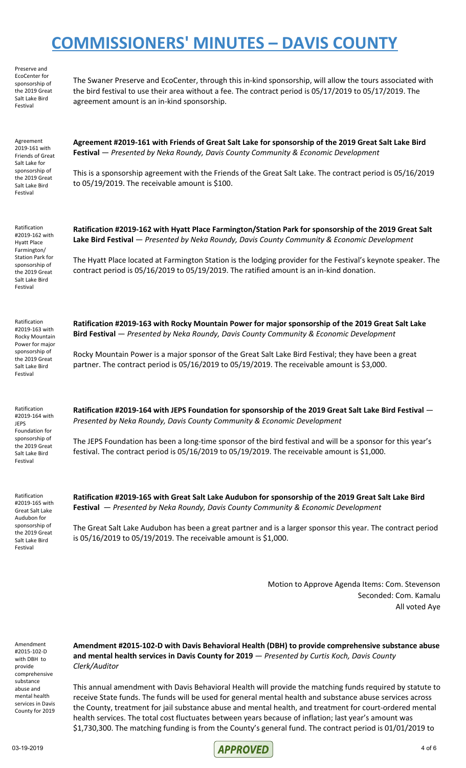Preserve and EcoCenter for sponsorship of the 2019 Great Salt Lake Bird Festival

The Swaner Preserve and EcoCenter, through this in-kind sponsorship, will allow the tours associated with the bird festival to use their area without a fee. The contract period is 05/17/2019 to 05/17/2019. The agreement amount is an in-kind sponsorship.

Agreement 2019-161 with Friends of Great Salt Lake for sponsorship of the 2019 Great Salt Lake Bird Festival

**Agreement #2019-161 with Friends of Great Salt Lake for sponsorship of the 2019 Great Salt Lake Bird Festival** — *Presented by Neka Roundy, Davis County Community & Economic Development*

This is a sponsorship agreement with the Friends of the Great Salt Lake. The contract period is 05/16/2019 to 05/19/2019. The receivable amount is \$100.

Ratification #2019-162 with Hyatt Place Farmington/ Station Park for sponsorship of the 2019 Great Salt Lake Bird Festival

**Ratification #2019-162 with Hyatt Place Farmington/Station Park for sponsorship of the 2019 Great Salt Lake Bird Festival** — *Presented by Neka Roundy, Davis County Community & Economic Development*

The Hyatt Place located at Farmington Station is the lodging provider for the Festival's keynote speaker. The contract period is 05/16/2019 to 05/19/2019. The ratified amount is an in-kind donation.

Ratification #2019-163 with Rocky Mountain Power for major sponsorship of the 2019 Great Salt Lake Bird Festival

Ratification #2019-164 with JEPS Foundation for sponsorship of the 2019 Great Salt Lake Bird Festival

**Ratification #2019-163 with Rocky Mountain Power for major sponsorship of the 2019 Great Salt Lake Bird Festival** — *Presented by Neka Roundy, Davis County Community & Economic Development*

Rocky Mountain Power is a major sponsor of the Great Salt Lake Bird Festival; they have been a great partner. The contract period is 05/16/2019 to 05/19/2019. The receivable amount is \$3,000.

**Ratification #2019-164 with JEPS Foundation for sponsorship of the 2019 Great Salt Lake Bird Festival** — *Presented by Neka Roundy, Davis County Community & Economic Development*

The JEPS Foundation has been a long-time sponsor of the bird festival and will be a sponsor for this year's festival. The contract period is 05/16/2019 to 05/19/2019. The receivable amount is \$1,000.

Ratification #2019-165 with Great Salt Lake Audubon for sponsorship of the 2019 Great Salt Lake Bird Festival

**Ratification #2019-165 with Great Salt Lake Audubon for sponsorship of the 2019 Great Salt Lake Bird Festival** — *Presented by Neka Roundy, Davis County Community & Economic Development*

The Great Salt Lake Audubon has been a great partner and is a larger sponsor this year. The contract period is 05/16/2019 to 05/19/2019. The receivable amount is \$1,000.

> Motion to Approve Agenda Items: Com. Stevenson Seconded: Com. Kamalu All voted Aye

Amendment #2015-102-D with DBH to provide comprehensive substance abuse and mental health services in Davis County for 2019

**Amendment #2015-102-D with Davis Behavioral Health (DBH) to provide comprehensive substance abuse and mental health services in Davis County for 2019** — *Presented by Curtis Koch, Davis County Clerk/Auditor*

This annual amendment with Davis Behavioral Health will provide the matching funds required by statute to receive State funds. The funds will be used for general mental health and substance abuse services across the County, treatment for jail substance abuse and mental health, and treatment for court-ordered mental health services. The total cost fluctuates between years because of inflation; last year's amount was \$1,730,300. The matching funding is from the County's general fund. The contract period is 01/01/2019 to

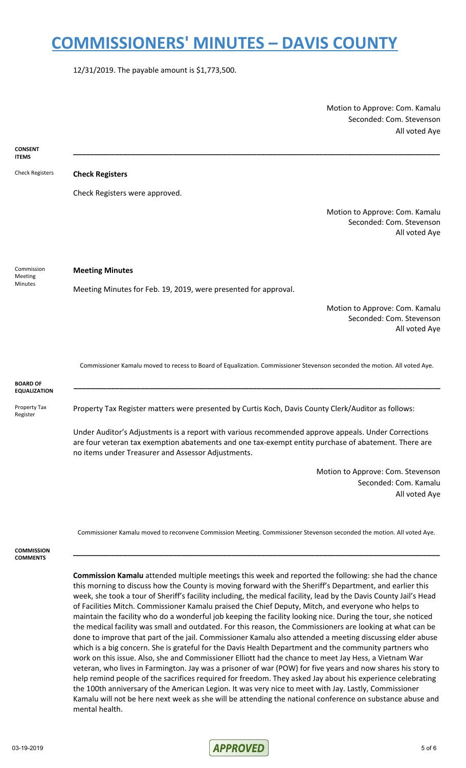12/31/2019. The payable amount is \$1,773,500.

Motion to Approve: Com. Kamalu Seconded: Com. Stevenson All voted Aye



Commissioner Kamalu moved to reconvene Commission Meeting. Commissioner Stevenson seconded the motion. All voted Aye.

**\_\_\_\_\_\_\_\_\_\_\_\_\_\_\_\_\_\_\_\_\_\_\_\_\_\_\_\_\_\_\_\_\_\_\_\_\_\_\_\_\_\_\_\_\_\_\_\_\_\_\_\_\_\_\_\_\_\_\_\_\_\_\_\_\_\_\_\_\_\_\_\_\_\_\_\_\_\_\_\_\_\_\_\_\_\_\_\_**

**COMMISSION COMMENTS**

> **Commission Kamalu** attended multiple meetings this week and reported the following: she had the chance this morning to discuss how the County is moving forward with the Sheriff's Department, and earlier this week, she took a tour of Sheriff's facility including, the medical facility, lead by the Davis County Jail's Head of Facilities Mitch. Commissioner Kamalu praised the Chief Deputy, Mitch, and everyone who helps to maintain the facility who do a wonderful job keeping the facility looking nice. During the tour, she noticed the medical facility was small and outdated. For this reason, the Commissioners are looking at what can be done to improve that part of the jail. Commissioner Kamalu also attended a meeting discussing elder abuse which is a big concern. She is grateful for the Davis Health Department and the community partners who work on this issue. Also, she and Commissioner Elliott had the chance to meet Jay Hess, a Vietnam War veteran, who lives in Farmington. Jay was a prisoner of war (POW) for five years and now shares his story to help remind people of the sacrifices required for freedom. They asked Jay about his experience celebrating the 100th anniversary of the American Legion. It was very nice to meet with Jay. Lastly, Commissioner Kamalu will not be here next week as she will be attending the national conference on substance abuse and mental health.